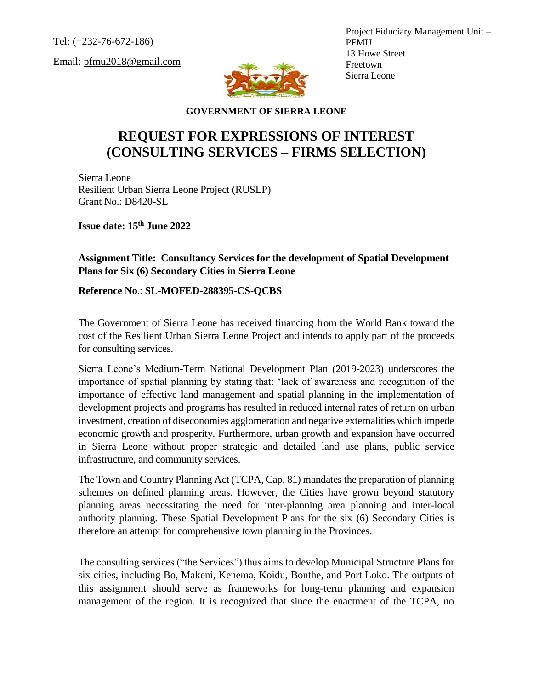Tel: (+232-76-672-186)

Email: pfmu2018@gmail.com



Project Fiduciary Management Unit – PFMU 13 Howe Street Freetown Sierra Leone

**GOVERNMENT OF SIERRA LEONE**

## **REQUEST FOR EXPRESSIONS OF INTEREST (CONSULTING SERVICES – FIRMS SELECTION)**

Sierra Leone Resilient Urban Sierra Leone Project (RUSLP) Grant No.: D8420-SL

**Issue date: 15 th June 2022**

**Assignment Title: Consultancy Services for the development of Spatial Development Plans for Six (6) Secondary Cities in Sierra Leone** 

**Reference No**.: **SL-MOFED-288395-CS-QCBS**

The Government of Sierra Leone has received financing from the World Bank toward the cost of the Resilient Urban Sierra Leone Project and intends to apply part of the proceeds for consulting services.

Sierra Leone's Medium-Term National Development Plan (2019-2023) underscores the importance of spatial planning by stating that: 'lack of awareness and recognition of the importance of effective land management and spatial planning in the implementation of development projects and programs has resulted in reduced internal rates of return on urban investment, creation of diseconomies agglomeration and negative externalities which impede economic growth and prosperity. Furthermore, urban growth and expansion have occurred in Sierra Leone without proper strategic and detailed land use plans, public service infrastructure, and community services.

The Town and Country Planning Act (TCPA, Cap. 81) mandates the preparation of planning schemes on defined planning areas. However, the Cities have grown beyond statutory planning areas necessitating the need for inter-planning area planning and inter-local authority planning. These Spatial Development Plans for the six (6) Secondary Cities is therefore an attempt for comprehensive town planning in the Provinces.

The consulting services ("the Services") thus aims to develop Municipal Structure Plans for six cities, including Bo, Makeni, Kenema, Koidu, Bonthe, and Port Loko. The outputs of this assignment should serve as frameworks for long-term planning and expansion management of the region. It is recognized that since the enactment of the TCPA, no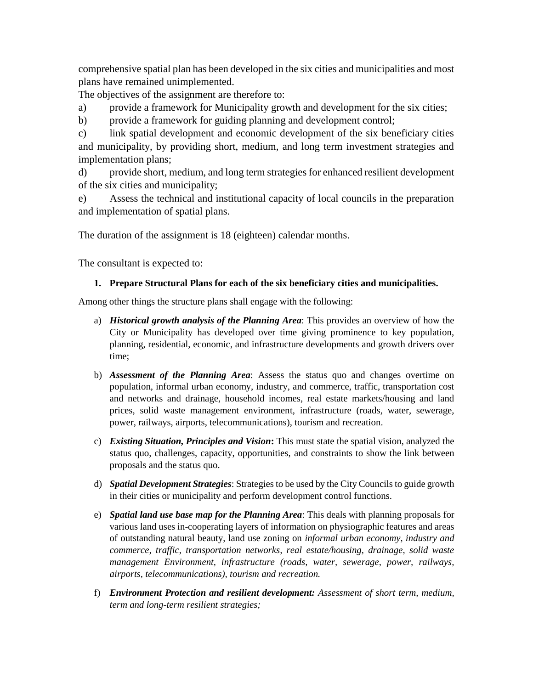comprehensive spatial plan has been developed in the six cities and municipalities and most plans have remained unimplemented.

The objectives of the assignment are therefore to:

- a) provide a framework for Municipality growth and development for the six cities;
- b) provide a framework for guiding planning and development control;

c) link spatial development and economic development of the six beneficiary cities and municipality, by providing short, medium, and long term investment strategies and implementation plans;

d) provide short, medium, and long term strategies for enhanced resilient development of the six cities and municipality;

e) Assess the technical and institutional capacity of local councils in the preparation and implementation of spatial plans.

The duration of the assignment is 18 (eighteen) calendar months.

The consultant is expected to:

## **1. Prepare Structural Plans for each of the six beneficiary cities and municipalities.**

Among other things the structure plans shall engage with the following:

- a) *Historical growth analysis of the Planning Area*: This provides an overview of how the City or Municipality has developed over time giving prominence to key population, planning, residential, economic, and infrastructure developments and growth drivers over time;
- b) *Assessment of the Planning Area*: Assess the status quo and changes overtime on population, informal urban economy, industry, and commerce, traffic, transportation cost and networks and drainage, household incomes, real estate markets/housing and land prices, solid waste management environment, infrastructure (roads, water, sewerage, power, railways, airports, telecommunications), tourism and recreation.
- c) *Existing Situation, Principles and Vision***:** This must state the spatial vision, analyzed the status quo, challenges, capacity, opportunities, and constraints to show the link between proposals and the status quo.
- d) *Spatial Development Strategies*: Strategies to be used by the City Councils to guide growth in their cities or municipality and perform development control functions.
- e) *Spatial land use base map for the Planning Area*: This deals with planning proposals for various land uses in-cooperating layers of information on physiographic features and areas of outstanding natural beauty, land use zoning on *informal urban economy, industry and commerce, traffic, transportation networks, real estate/housing, drainage, solid waste management Environment, infrastructure (roads, water, sewerage, power, railways, airports, telecommunications), tourism and recreation.*
- f) *Environment Protection and resilient development: Assessment of short term, medium, term and long-term resilient strategies;*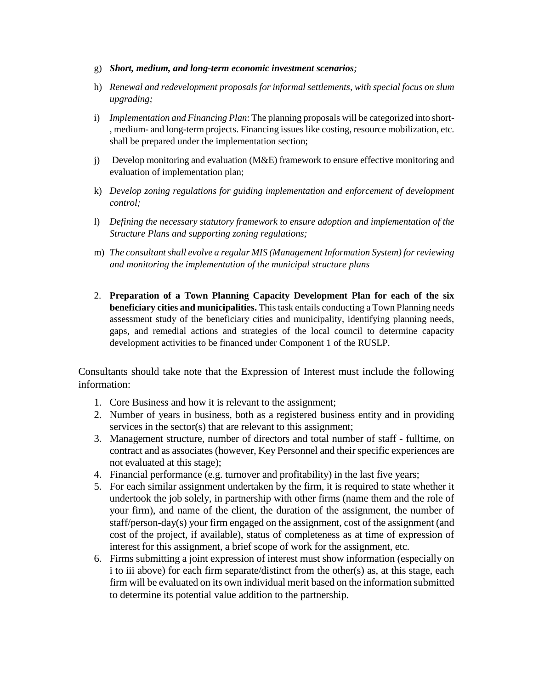- g) *Short, medium, and long-term economic investment scenarios;*
- h) *Renewal and redevelopment proposals for informal settlements, with special focus on slum upgrading;*
- i) *Implementation and Financing Plan*: The planning proposals will be categorized into short- , medium- and long-term projects. Financing issues like costing, resource mobilization, etc. shall be prepared under the implementation section;
- j) Develop monitoring and evaluation (M&E) framework to ensure effective monitoring and evaluation of implementation plan;
- k) *Develop zoning regulations for guiding implementation and enforcement of development control;*
- l) *Defining the necessary statutory framework to ensure adoption and implementation of the Structure Plans and supporting zoning regulations;*
- m) *The consultant shall evolve a regular MIS (Management Information System) for reviewing and monitoring the implementation of the municipal structure plans*
- 2. **Preparation of a Town Planning Capacity Development Plan for each of the six beneficiary cities and municipalities.** This task entails conducting a Town Planning needs assessment study of the beneficiary cities and municipality, identifying planning needs, gaps, and remedial actions and strategies of the local council to determine capacity development activities to be financed under Component 1 of the RUSLP.

Consultants should take note that the Expression of Interest must include the following information:

- 1. Core Business and how it is relevant to the assignment;
- 2. Number of years in business, both as a registered business entity and in providing services in the sector(s) that are relevant to this assignment;
- 3. Management structure, number of directors and total number of staff fulltime, on contract and as associates (however, Key Personnel and their specific experiences are not evaluated at this stage);
- 4. Financial performance (e.g. turnover and profitability) in the last five years;
- 5. For each similar assignment undertaken by the firm, it is required to state whether it undertook the job solely, in partnership with other firms (name them and the role of your firm), and name of the client, the duration of the assignment, the number of staff/person-day(s) your firm engaged on the assignment, cost of the assignment (and cost of the project, if available), status of completeness as at time of expression of interest for this assignment, a brief scope of work for the assignment, etc.
- 6. Firms submitting a joint expression of interest must show information (especially on i to iii above) for each firm separate/distinct from the other(s) as, at this stage, each firm will be evaluated on its own individual merit based on the information submitted to determine its potential value addition to the partnership.